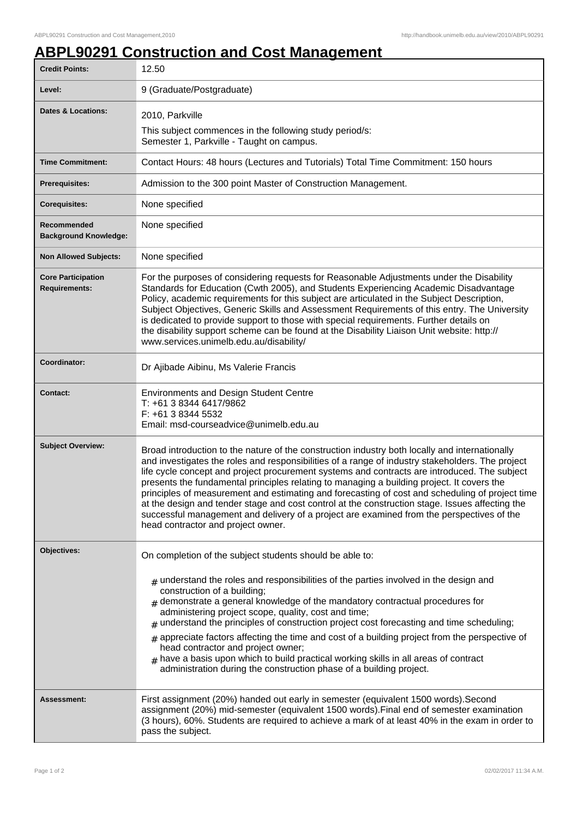## **ABPL90291 Construction and Cost Management**

| <b>Credit Points:</b>                             | 12.50                                                                                                                                                                                                                                                                                                                                                                                                                                                                                                                                                                                                                                                                                                                                       |
|---------------------------------------------------|---------------------------------------------------------------------------------------------------------------------------------------------------------------------------------------------------------------------------------------------------------------------------------------------------------------------------------------------------------------------------------------------------------------------------------------------------------------------------------------------------------------------------------------------------------------------------------------------------------------------------------------------------------------------------------------------------------------------------------------------|
| Level:                                            | 9 (Graduate/Postgraduate)                                                                                                                                                                                                                                                                                                                                                                                                                                                                                                                                                                                                                                                                                                                   |
| <b>Dates &amp; Locations:</b>                     | 2010, Parkville                                                                                                                                                                                                                                                                                                                                                                                                                                                                                                                                                                                                                                                                                                                             |
|                                                   | This subject commences in the following study period/s:<br>Semester 1, Parkville - Taught on campus.                                                                                                                                                                                                                                                                                                                                                                                                                                                                                                                                                                                                                                        |
| <b>Time Commitment:</b>                           | Contact Hours: 48 hours (Lectures and Tutorials) Total Time Commitment: 150 hours                                                                                                                                                                                                                                                                                                                                                                                                                                                                                                                                                                                                                                                           |
| <b>Prerequisites:</b>                             | Admission to the 300 point Master of Construction Management.                                                                                                                                                                                                                                                                                                                                                                                                                                                                                                                                                                                                                                                                               |
| <b>Corequisites:</b>                              | None specified                                                                                                                                                                                                                                                                                                                                                                                                                                                                                                                                                                                                                                                                                                                              |
| Recommended<br><b>Background Knowledge:</b>       | None specified                                                                                                                                                                                                                                                                                                                                                                                                                                                                                                                                                                                                                                                                                                                              |
| <b>Non Allowed Subjects:</b>                      | None specified                                                                                                                                                                                                                                                                                                                                                                                                                                                                                                                                                                                                                                                                                                                              |
| <b>Core Participation</b><br><b>Requirements:</b> | For the purposes of considering requests for Reasonable Adjustments under the Disability<br>Standards for Education (Cwth 2005), and Students Experiencing Academic Disadvantage<br>Policy, academic requirements for this subject are articulated in the Subject Description,<br>Subject Objectives, Generic Skills and Assessment Requirements of this entry. The University<br>is dedicated to provide support to those with special requirements. Further details on<br>the disability support scheme can be found at the Disability Liaison Unit website: http://<br>www.services.unimelb.edu.au/disability/                                                                                                                           |
| Coordinator:                                      | Dr Ajibade Aibinu, Ms Valerie Francis                                                                                                                                                                                                                                                                                                                                                                                                                                                                                                                                                                                                                                                                                                       |
| <b>Contact:</b>                                   | <b>Environments and Design Student Centre</b><br>T: +61 3 8344 6417/9862<br>F: +61 3 8344 5532<br>Email: msd-courseadvice@unimelb.edu.au                                                                                                                                                                                                                                                                                                                                                                                                                                                                                                                                                                                                    |
| <b>Subject Overview:</b>                          | Broad introduction to the nature of the construction industry both locally and internationally<br>and investigates the roles and responsibilities of a range of industry stakeholders. The project<br>life cycle concept and project procurement systems and contracts are introduced. The subject<br>presents the fundamental principles relating to managing a building project. It covers the<br>principles of measurement and estimating and forecasting of cost and scheduling of project time<br>at the design and tender stage and cost control at the construction stage. Issues affecting the<br>successful management and delivery of a project are examined from the perspectives of the<br>head contractor and project owner.   |
| Objectives:                                       | On completion of the subject students should be able to:<br>$*$ understand the roles and responsibilities of the parties involved in the design and<br>construction of a building;<br>$*$ demonstrate a general knowledge of the mandatory contractual procedures for<br>administering project scope, quality, cost and time;<br>$#$ understand the principles of construction project cost forecasting and time scheduling;<br>$_{\#}$ appreciate factors affecting the time and cost of a building project from the perspective of<br>head contractor and project owner;<br>$#$ have a basis upon which to build practical working skills in all areas of contract<br>administration during the construction phase of a building project. |
| Assessment:                                       | First assignment (20%) handed out early in semester (equivalent 1500 words). Second<br>assignment (20%) mid-semester (equivalent 1500 words). Final end of semester examination<br>(3 hours), 60%. Students are required to achieve a mark of at least 40% in the exam in order to<br>pass the subject.                                                                                                                                                                                                                                                                                                                                                                                                                                     |